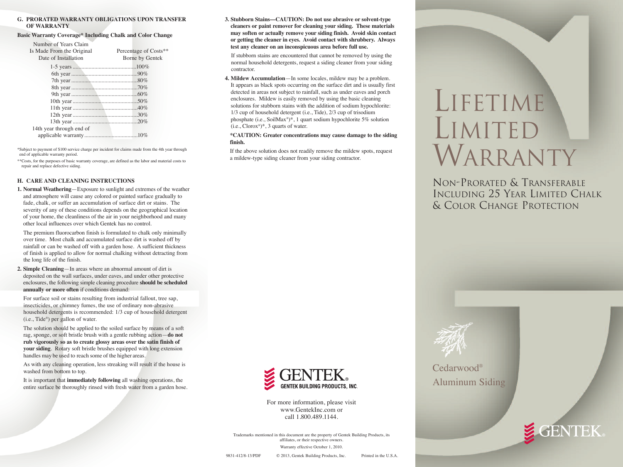#### **G. PRORATED WARRANTY OBLIGATIONS UPON TRANSFER OF WARRANTY**

#### **Basic Warranty Coverage\* Including Chalk and Color Change**

| Number of Years Claim     |                       |
|---------------------------|-----------------------|
| Is Made From the Original | Percentage of Costs** |
| Date of Installation      | Borne by Gentek       |
|                           |                       |
|                           |                       |
|                           |                       |
|                           |                       |
|                           |                       |
|                           |                       |
|                           |                       |
|                           |                       |
|                           |                       |
| 14th year through end of  |                       |
|                           |                       |

\*Subject to payment of \$100 service charge per incident for claims made from the 4th year through end of applicable warranty period.

\*\*Costs, for the purposes of basic warranty coverage, are defined as the labor and material costs to repair and replace defective siding.

#### **H. CARE AND CLEANING INSTRUCTIONS**

**1. Normal Weathering**—Exposure to sunlight and extremes of the weather and atmosphere will cause any colored or painted surface gradually to fade, chalk, or suffer an accumulation of surface dirt or stains. The severity of any of these conditions depends on the geographical location of your home, the cleanliness of the air in your neighborhood and many other local influences over which Gentek has no control.

The premium fluorocarbon finish is formulated to chalk only minimally over time. Most chalk and accumulated surface dirt is washed off by rainfall or can be washed off with a garden hose. A sufficient thickness of finish is applied to allow for normal chalking without detracting from the long life of the finish.

**2. Simple Cleaning**—In areas where an abnormal amount of dirt is deposited on the wall surfaces, under eaves, and under other protective enclosures, the following simple cleaning procedure **should be scheduled annually or more often** if conditions demand:

For surface soil or stains resulting from industrial fallout, tree sap, insecticides, or chimney fumes, the use of ordinary non-abrasive household detergents is recommended: 1/3 cup of household detergent (i.e., Tide®) per gallon of water.

The solution should be applied to the soiled surface by means of a soft rag, sponge, or soft bristle brush with a gentle rubbing action—**do not rub vigorously so as to create glossy areas over the satin finish of your siding**. Rotary soft bristle brushes equipped with long extension handles may be used to reach some of the higher areas.

As with any cleaning operation, less streaking will result if the house is washed from bottom to top.

It is important that **immediately following** all washing operations, the entire surface be thoroughly rinsed with fresh water from a garden hose. **3. Stubborn Stains—CAUTION: Do not use abrasive or solvent-type cleaners or paint remover for cleaning your siding. These materials may soften or actually remove your siding finish. Avoid skin contact or getting the cleaner in eyes. Avoid contact with shrubbery. Always test any cleaner on an inconspicuous area before full use.**

If stubborn stains are encountered that cannot be removed by using the normal household detergents, request a siding cleaner from your siding contractor.

**4. Mildew Accumulation**—In some locales, mildew may be a problem. It appears as black spots occurring on the surface dirt and is usually first detected in areas not subject to rainfall, such as under eaves and porch enclosures. Mildew is easily removed by using the basic cleaning solutions for stubborn stains with the addition of sodium hypochlorite: 1/3 cup of household detergent (i.e., Tide), 2/3 cup of trisodium phosphate (i.e., SoilMax®)\*, 1 quart sodium hypochlorite 5% solution  $(i.e., Clorox^*)^*$ , 3 quarts of water.

#### **\*CAUTION: Greater concentrations may cause damage to the siding finish.**

If the above solution does not readily remove the mildew spots, request a mildew-type siding cleaner from your siding contractor.

# LIFETIME LIMITED WARRANTY

NON-PRORATED & TRANSFERABLE INCLUDING 25 YEAR LIMITED CHALK & COLOR CHANGE PROTECTION



For more information, please visit www.GentekInc.com or call 1.800.489.1144.

Trademarks mentioned in this document are the property of Gentek Building Products, its affiliates, or their respective owners. Warranty effective October 1, 2010.



Aluminum Siding